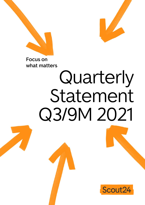



**Focus on what matters**

# Quarterly Statement Q3/9M 2021

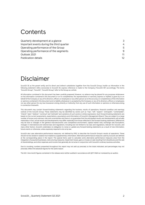## <span id="page-1-0"></span>Contents

| Quarterly development at a glance         | 3  |
|-------------------------------------------|----|
| Important events during the third quarter | 4  |
| Operating performance of the Group        | .5 |
| Operating performance of the segments     | 9  |
| Outlook 2021                              | 11 |
| Publication details                       | 12 |

# Disclaimer

Scout24 SE as the parent entity and its direct and indirect subsidiaries together form the Scout24 Group. Insofar as information in the following statement refers exclusively to Scout24 SE, express reference is made to the Company ("Scout24 SE") accordingly. The terms "Scout24 Group", "Scout24", "Scout24 Group" refer to the Group as a whole.

All information contained in this document has been carefully prepared. However, no reliance may be placed for any purposes whatsoever on the information contained in this document or on its completeness. No representation or warranty, express or implied, is given by or on behalf of the Company or any of its directors, officers or employees or any other person as to the accuracy or completeness of the information or opinions contained in this document and no liability whatsoever is accepted by the Company or any of its directors, officers or employees nor any other person for any loss howsoever arising, directly or indirectly, from any use of such information or opinions or otherwise arising in connection therewith.

This document may contain forward-looking statements regarding the business, results of operations, financial condition and earnings outlook of the Scout24 Group. These statements may be identified by words such as "may", "will", "expect", "anticipate", "contemplate", "intend", "plan", "believe", "continue" and "estimate" and variations of such words or similar expressions. Such forward-looking statements are based on the current assessments, expectations, assumptions and information of Scout24's Management Board. They are subject to a large number of known and unknown risks and uncertainties and there is no guarantee that the anticipated results and developments will actually materialise. In fact, actual results and developments may differ materially from those reflected in the forward-looking statements. Differences may be due to changes in the general macroeconomic and competitive environment, capital market risks, exchange rate fluctuations, changes in international and national laws and regulations, including but not limited to tax laws and regulations, relevant for Scout24, and many other factors. Scout24 undertakes no obligation to revise or update any forward-looking statements as a result of new information, future events or otherwise, unless expressly required to do so by law.

Scout24 also uses alternative performance measures, not defined by IFRS, to describe the Scout24 Group's results of operations. These should not be viewed in isolation but treated as supplementary information. Alternative performance measures used by Scout24 are defined at the corresponding place in the report. The special items used to calculate some alternative performance measures arise from the integration of acquired businesses, restructuring measures, impairment losses, gains or losses on sale resulting from divestitures and the sale of shareholdings, and other expenses and income that generally do not arise in conjunction with Scout24's ordinary business activities.

Due to rounding, numbers presented throughout this report may not add up precisely to the totals indicated, and percentages may not precisely reflect the absolute figures for the same reason.

The Q3 / nine-month figures contained in this release were neither audited in accordance with §317 HGB nor reviewed by an auditor.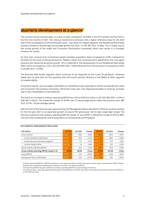## <span id="page-2-0"></span>**Quarterly development at a glance**

The Scout24 Group revenue grew, in a year-on-year comparison, by 8.8% in the third quarter and by 9.4% in the first nine months of 2021. The revenue momentum continued, with a higher reference base for Q3 2020 due to the consolidation of immoverkauf24 since 1 July 2020. Our largest segment, the Residential Real Estate business showed a double-digit percentage growth (Q3 2021: +11.4%; 9M 2021: +12.8%). This is mainly due to the strong growth of the Leads and Consumer Plus-product businesses, which also results in a changed revenue mix overall.

On that note, revenue from commission-based mandate acquisition leads increased by 41.0% compared to Q3 2020. On the back of strong demand for "Realtor Leads" and continued price adjustments, the core agent business also delivered attractive growth. This is reflected in the development of our Residential Real Estate ARPU, which increased by 7.4% in Q3 2021 (9M 2021: +5.9%). Revenue from Plus-products increased by 23.0% in Q3 (9M 2021: +27.8%).

The Business Real Estate segment, which continues to be impacted by the Covid 19 pandemic, remained stable year-on-year both for the quarterly and nine-month periods. Revenue in the Media & Other segment increased slightly.

In the third quarter, we once again intensified our marketing invest, especially to further accelerate the Leads and Consumer Plus-product businesses. Personnel costs also rose disproportionately to revenue, primarily due to the consolidation of Vermietet.de.

This led to an increase in ordinary operating EBITDA by 4.4% to EUR 54.5 million in Q3 2021 (9M 2021: +4.5% to EUR 164.7 million). The respective margin of 55.9% was 2.3 percentage points below the previous year (9M 2021: 57.4%; -2.6 percentage points).

With the end of the financial year approaching, the Management Board decided to refine its revenue outlook for the full year 2021 to an expected growth of around 9% (previously: mid to high single-digit range). The previous outlook for the ordinary operating EBITDA margin of "up to 60%" is refined to a range of 57% to 58%, now also fully including the recent acquisitions of Vermietet.de and Propstack.

| <b>EUR millions</b>                                      | Q3 2021 | Q3 2020 | Change    | 9M 2021 | 9M 2020 | Change    |
|----------------------------------------------------------|---------|---------|-----------|---------|---------|-----------|
| Group revenue                                            | 97.5    | 89.6    | $+8.8%$   | 287.2   | 262.6   | $+9.4%$   |
| of which Residential Real Estate                         | 72.3    | 64.9    | $+11.4%$  | 212.4   | 188.2   | $+12.8%$  |
| of which Business Real Estate segment                    | 17.2    | 17.1    | $+0.7%$   | 51.4    | 51.6    | $-0.3%$   |
| of which Media & Other                                   | 7.9     | 7.6     | $+3.8%$   | 23.1    | 22.7    | $+2.0%$   |
| Group ordinary operating EBITDA <sup>1</sup>             | 54.5    | 52.2    | $+4.4%$   | 164.7   | 157.6   | $+4.5%$   |
| Group ordinary operating EBITDA margin <sup>2</sup> in % | 55.9%   | 58.2%   | $-2.3$ pp | 57.4%   | 60.0%   | $-2.6$ pp |
| Group EBITDA                                             | 52.1    | 44.1    | $+18.2%$  | 153.4   | 140.5   | $+9.2%$   |
| Earnings per share, in EUR (basic) $3$                   | 0.29    | 0.23    | $+27.2%$  | 0.79    | 0.67    | $+18.1%$  |

#### **KEY FINANCIAL PERFORMANCE INDICATORS**

<sup>1</sup> Ordinary operating EBITDA is EBITDA adjusted for non-operating effects, mainly expenses for share-based compensation, M&A activities (realised and unrealised), reorganisation measures and other non-operating effects.

 $^2$  The operating EBITDA margin is defined as ordinary operating EBITDA as a percentage of revenue.<br><sup>3</sup> The previous year's value was adjusted following the reclassification of certain securities of the special securitie on the financial result.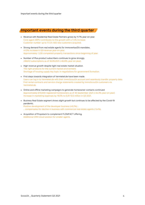## <span id="page-3-0"></span>**Important events during the third quarter**

- Revenue with Residential Real Estate Partners grows by 11.7% year-on-year. Core agent ARPU contributes to this growth with a 7.4% increase. Customer number up to 17,721; 505 new customers acquired.
- Strong demand from real estate agents for immoverkauf24 mandates. 41.0% increase in Q3-revenue year-on-year. Approximately 1,230 completed property transactions since beginning of year.
- Number of Plus-product subscribers continues to grow strongly. 236,612 subscriptions as of 30.09.2021 (+82.8% year-on-year).
- High revenue growth despite tight real estate market situation. The right products for the current market environment. Shortage of housing supply key topic in negotiations for government formation.
- First steps towards integration of Vermietet.de have been made. Users can log in to Vermietet.de with their ImmoScout24 account and seamlessly transfer property data. First rental contracts and service charge statements created by ImmoScout24 customers via Vermietet.de.
- Online and offline marketing campaigns to generate homeowner contacts continued. Approximately 670,000 registered homeowners as of 30 September 2021 (+34.3% year-on-year). Increase in marketing expenses by 19.0% to EUR 10.0 million in Q3 2021.
- Business Real Estate segment shows slight growth but continues to be affected by the Covid-19 pandemic. Positive development of the developer business (+6.2%) ... ... compensates for decline in business with commercial real estate agents (-5.4%).
- Acquisition of Propstack to complement FLOWFACT offering. Additional CRM cloud solution for smaller agents.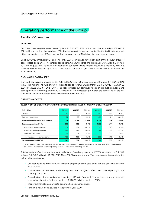## <span id="page-4-0"></span>**Operating performance of the Group**

#### **Results of Operations**

#### **REVENUE**

Our Group revenue grew year-on-year by 8.8% to EUR 97.5 million in the third quarter and by 9.4% to EUR 287.2 million in the first nine months of 2021. The main growth driver was our Residential Real Estate segment with a revenue increase of 11.4% in a quarterly comparison and 12.8% in a nine-month comparison.

Since July 2020 immoverkauf24 and since May 2021 Vermietet.de have been part of the Scout24 group of consolidated companies. Two smaller acquisitions, Wohnungsbörse and Propstack, were added as of April 2021 and August 2021. Excluding the acquisitions, our consolidated revenue would have grown by 8.4% in a quarterly comparison and by 7.4% in a nine-month comparison (9M 2021 only adjusted for six months of immoverkauf24).

#### **OWN WORK CAPITALISED**

Own work capitalised increased by 35.4% to EUR 7.2 million in the third quarter of the year (9M 2021: +20.9% to EUR 19.5 million). The ratio of own work capitalised to revenue was up from 5.9% in Q3 2020 to 7.4% in Q3 2021 (9M 2020: 6.1%; 9M 2021: 6.8%). This ratio reflects our continued focus on product innovation and development. In the third quarter of 2021, investments in Vermietet.de products were capitalised for the first time, which can be considered the main reason for the higher ratio.

#### **OPERATING COSTS**

| <b>EUR</b> million                     | Q3 2021 | Q3 2020 | Change    | 9M 2021  | 9M 2020  | Change           |
|----------------------------------------|---------|---------|-----------|----------|----------|------------------|
| Revenue                                | 97.5    | 89.6    | $+8.8%$   | 287.2    | 262.6    | $+9.4%$          |
| Own work capitalised                   | 7.2     | 5.3     | +35.4%    | 19.5     | 16.1     | $+20.9%$         |
| Own work capitalised as % of revenue   | 7.4%    | 5.9%    | $+1.5$ pp | 6.8%     | 6.1%     | $+0.7$ <i>pp</i> |
| Ordinary operating effects             | $-50.2$ | $-42.8$ | $+17.4%$  | $-142.0$ | $-121.1$ | $+17.2%$         |
| of which personnel expenses            | $-21.7$ | $-19.4$ | $+11.7%$  | $-63.0$  | $-55.0$  | $+14.5%$         |
| of which marketing expenses            | $-9.9$  | $-8.4$  | +19.0%    | $-27.8$  | $-21.7$  | $+28.2%$         |
| of which IT expenses                   | $-4.6$  | $-4.4$  | $+5.3%$   | $-12.7$  | $-12.7$  | $-0.1%$          |
| of which other operating expenses      | $-13.9$ | $-10.6$ | $+31.4%$  | $-38.5$  | $-31.7$  | $+21.4%$         |
| Ordinary operating EBITDA <sup>1</sup> | 54.5    | 52.2    | $+4.4%$   | 164.7    | 157.6    | $+4.5%$          |

**DEVELOPMENT OF OPERATING COSTS AND THE CORRESPONDING IMPACT ON ORDINARY OPERATING EBITDA** 

<sup>1</sup> Ordinary operating EBITDA is defined as EBITDA adjusted for non-operating effects, mainly expenses for share-based compensation, M&A activities (realised and unrealised), reorganisation and other non-operating effects.

Total operating effects reconciling to Scout24 Group's ordinary operating EBITDA amounted to EUR 50.2 million / EUR 142.0 million in Q3 / 9M 2021, 17.4% / 17.2% up year-on-year. This development is essentially due to the following reasons:

- Changed revenue mix in favour of mandate acquisition products (Leads) and the consumer business (Plus-products).
- Consolidation of Vermietet.de since May 2021 with "inorganic" effects on costs especially in the quarterly comparison.
- Consolidation of immoverkauf24 since July 2020 with "inorganic" impact on costs in nine-month comparison (included for three months in 9M 2020, full nine months in 2021).
- Intensified marketing activities to generate homeowner contacts.
- Pandemic-related cost savings in the previous year 2020.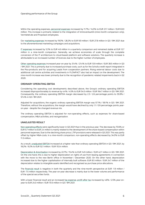Within the operating expenses, personnel expenses increased by 11.7% / 14.5% to EUR 21.7 million / EUR 63.0 million. This increase is primarily related to the integration of immoverkauf24 (nine-month comparison only), Vermietet.de and Propstack employees.

Our marketing expenses increased by 19.0% / 28.2% to EUR 9.9 million / EUR 27.8 million in Q3 / 9M 2021 due to the aforementioned marketing campaigns and acquisitions.

IT expenses increased by 5.3% to EUR 4.6 million in a quarterly comparison and remained stable at EUR 12.7 million in a nine-month comparison. Generally, we achieve economies of scale through the complete conversion of the IT architecture to cloud-based platform and software solutions. The quarterly increase is attributable to an increased number of licences due to the higher number of employees.

Other operating expenses increased year-on-year by 31.4% / 21.4% to EUR 13.9 million / EUR 38.5 million in Q3 / 9M 2021. This is primarily due to increased purchase costs, such as for the Schufa credit report integrated in the Plus-products and for acquiring Leads from cooperation partners. Rising external labour costs due to additional call centre activities and investments in FLOWFACT also had an impact on the development. The nine-month increase was lower primarily due to the recognition of pandemic-related impairments back in Q2 2020.

#### **ORDINARY OPERATING EBITDA**

Considering the operating cost developments described above, the Group's ordinary operating EBITDA increased disproportionately to revenue by 4.4% / 4.5% to EUR 54.5 million / EUR 164.7 million in Q3 / 9M 2021. Consequently, the ordinary operating EBITDA margin decreased by 2.3 / 2.6 percentage points to 55.9% / 57.4% in Q3 / 9M 2021.

Adjusted for acquisitions, the organic ordinary operating EBITDA margin was 57.1% / 59.1% in Q3 / 9M 2021. Therefore, without the acquisitions, the margin would have declined by only 1.1 / 0.9 percentage points yearon-year - despite the changed revenue mix.

The ordinary operating EBITDA is adjusted for non-operating effects, such as expenses for share-based compensation, M&A activities, and reorganisation.

#### **UNADJUSTED RESULT**

Non-operating effects were significantly lower in Q3 2021 than in the previous year. The decrease by 70.6% or EUR 5.7 million to EUR 2.4 million is mainly related to the development of the share-based compensation within personnel expenses. Due to the declining share price, LTIP provisions were released in Q3 2021. This was partly offset by higher M&A-costs. In a nine-month comparison, non-operating effects decreased by 34.0% to EUR 11.3 million.

As a result, unadjusted EBITDA increased at a higher rate than ordinary operating EBITDA in Q3 / 9M 2021, by 18.2% / 9.2% to EUR 52.1 million / EUR 153.4 million.

Depreciation & Amortisation increased by 22.7% / 15.4% to EUR 14.9 million / EUR 42.7 million in Q3 / 9M 2021. On the one hand, this is due to higher depreciation on rights of use from leasing agreements in connection with the move to the new Berlin office in November / December 2020. On the other hand, depreciation increased due to the higher capitalisation of internally built software. EUR 8.5 million / EUR 24.7 million of the depreciation relates to intangible assets identified and recognised as purchase price allocations.

The financial result is negative in both the quarterly and the nine-month perspective at EUR -1.9 million / EUR -7.5 million respectively. The year-on-year decrease is mainly due to the lower volume and performance of the special securities funds.

With a lower financial result and an increased tax expense, profit after tax increased by 4.6% / 2.5% year-onyear to EUR 24.0 million / EUR 70.5 million in Q3 / 9M 2021.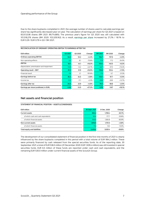Due to the share buybacks completed in 2021, the average number of shares used to calculate earnings per share has significantly decreased year-on-year. The calculation of earnings per share for Q3 2021 is based on 83,513,538 shares (9M 2021: 89,714,885). The previous year's figure for Q3 2020 was still calculated with 101,518,276 shares (9M 2020: 103,329,162). As a result, earnings per share increased by 27.2% / 18.1% to EUR 0.29 / EUR 0.79 in Q3 / 9M 2021.

#### **RECONCILIATION OF ORDINARY OPERATING EBITDA TO EARNINGS AFTER TAX**

| <b>EUR</b> million                        | Q3 2021 | Q3 2020 | Change    | 9M 2021 | 9M 2020 | Change   |
|-------------------------------------------|---------|---------|-----------|---------|---------|----------|
| Ordinary operating EBITDA                 | 54.5    | 52.2    | $+4.4%$   | 164.7   | 157.6   | $+4.5%$  |
| Non-operating effects                     | 2.4     | 8.1     | $-70.6%$  | 11.3    | 17.2    | $-34.0%$ |
| <b>EBITDA</b>                             | 52.1    | 44.1    | $+18.2%$  | 153.4   | 140.5   | $+9.2%$  |
| Depreciation, amortisation and impairment | $-14.9$ | $-12.2$ | $+22.7%$  | $-42.7$ | $-37.0$ | $+15.4%$ |
| Operating result - EBIT                   | 37.2    | 31.9    | +16.5%    | 110.6   | 103.4   | $+7.0%$  |
| Financial result                          | $-1.9$  | 2.1     | $-191.6%$ | $-7.5$  | $-5.7$  | $-31.3%$ |
| Earnings before tax                       | 35.3    | 34.0    | $+3.8%$   | 103.1   | 97.7    | $+5.5%$  |
| Income tax                                | $-11.3$ | $-11.1$ | $+2.2%$   | $-32.6$ | $-28.9$ | $+12.7%$ |
| Earnings after tax                        | 24.0    | 22.9    | $+4.6%$   | 70.5    | 68.8    | $+2.5%$  |
| Earnings per share (undiluted, in EUR)    | 0.29    | 0.23    | $+27.2%$  | 0.79    | 0.67    | $+18.1%$ |

#### **Net assets and financial position**

#### **STATEMENT OF FINANCIAL POSITION – ASSETS (CONDENSED)**

| <b>EUR</b> million                 | 30 Sept. 2021 | 31 Dec. 2020 | Change   |
|------------------------------------|---------------|--------------|----------|
| <b>Current assets</b>              | 652.4         | 1.769.4      | $-63.1%$ |
| of which cash and cash equivalents | 82.4          | 177.7        | $-53.6%$ |
| of which financial assets          | 533.3         | 1.564.8      | $-65.9%$ |
| Non-current assets                 | 1,818.0       | 1.751.0      | $+3.8%$  |
| of which financial assets          | 11.3          | 13.0         | $-13.0%$ |
| Total equity and liabilities       | 2.470.4       | 3.520.4      | $-29.8%$ |

The development of our consolidated statement of financial position in the first nine months of 2021 is clearly influenced by the share buybacks completed in this period with a total volume of EUR 994.2 million. These were primarily financed by cash released from the special securities funds. As of the reporting date, 30 September 2021, a total of EUR 536.5 million (31 December 2020: EUR 1,509.4 million) was still invested in special securities funds. EUR 6.5 million of these funds are reported under cash and cash equivalents, and the remaining EUR 530.0 million under current financial assets of the Scout24 Group.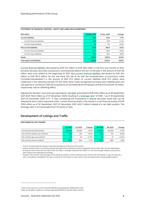| <b>EUR</b> million             | 30 Sept. 2021 | 31 Dec. 2020 | Change   |
|--------------------------------|---------------|--------------|----------|
| <b>Current liabilities</b>     | 132.4         | 142.6        | $-7.1%$  |
| of which financial liabilities | 59.6          | 69.9         | $-14.7%$ |
| of which lease liabilities     | 9.0           | 8.3          | $+9.4%$  |
| Non-current liabilities        | 517.6         | 564.0        | $-8.2%$  |
| of which financial liabilities | 167.5         | 193.9        | $-13.6%$ |
| of which lease liabilities     | 56.2          | 60.2         | $-6.6%$  |
| Equity                         | 1,820.3       | 2.813.8      | $-35.3%$ |
| Total equity and liabilities   | 2,470.4       | 3,520.4      | $-29.8%$ |

#### **STATEMENT OF FINANCIAL POSITION – EQUITY AND LIABILITIES (CONDENSED)**

Current financial liabilities decreased by EUR 10.3 million to EUR 59.6 million in the first nine months of 2021, primarily because securities transactions commissioned before the turn of the year in the amount of EUR 9.6 million were only settled at the beginning of 2021. Non-current financial liabilities decreased by EUR 26.4 million to EUR 167.5 million. On the one hand, this has to do with the reclassification of promissory notes ("Schuldscheindarlehen") in the amount of EUR 57.0 million to current liabilities (EUR 57.5 million were redeemed in the reporting period). On the other hand, newly recognised purchase price liabilities (put and call options) in connection with the acquisitions of Vermietet.de and Propstack of EUR 27.6 and EUR 3.0 million, respectively, had an offsetting effect.

Adjusted for the item "cash and cash equivalents", net debt<sup>[1](#page-7-0)</sup> amounted to EUR 210.0 million as of 30 September [2](#page-7-1)021 (EUR 154.6 million as of 31 December 2020), resulting in a leverage ratio<sup>2</sup> of 0.96 : 1 as of 30 September 2021 (31 December 2020: 0.73 : 1). Also considering the investments in special securities funds that can be released at short notice (reported under "current financial assets"), this results in a net financial surplus of EUR 319.9 million as of 30 September 2021 (31 December: EUR 1,403.7 million) instead of a net debt position. The leverage ratio is not meaningful from this point of view.

#### **Development of Listings and Traffic**

#### **NON-FINANCIAL KEY FIGURES**

|                                                     | Q3 2021 | Q3 2020 | Change   | 9M 2021 | 9M 2020 | Change   |
|-----------------------------------------------------|---------|---------|----------|---------|---------|----------|
| ImmoScout24.de (IS24) listings <sup>1</sup>         | 351.834 | 422.563 | $-16.7%$ | 374,007 | 420.464 | $-11.0%$ |
| $IS24$ monthly website users (million) <sup>2</sup> | $14.9-$ | 18.5    | $-19.4%$ | 16.2    | 19.5    | $-16.9%$ |
| IS24 monthly app users (million) <sup>2</sup>       | 4.5     | 3.6     | $+27.3%$ | 4.6     | 3.7     | $+23.3%$ |
| IS24 monthly sessions (million) $3$                 | 96.7    | 99.4    | $-2.7%$  | 103.7   | 106.9   | $-3.0%$  |

<sup>1</sup> Source: ImmoScout24.de; listings in Germany (average as of the end of the month)

<sup>2</sup> Unique monthly visitors on ImmoScout24.de (average of the individual months), irrespective of how often they visit the marketplace during the month. Since the first half of 2021, the data is no longer obtained from AGOF e. V. but from Google Analytics; the previous year's figures were adjusted accordingly.

<sup>3</sup> Number of all monthly visits (average of the individual months) in which individual users interact with the website or app via a device; a visit is considered completed if the user is inactive for 30 minutes or more; source: internal measurement using Google Analytics.

<sup>&</sup>lt;sup>1</sup> Total current and non-current financial liabilities (including lease liabilities) less cash.

<span id="page-7-1"></span><span id="page-7-0"></span><sup>&</sup>lt;sup>2</sup> Ratio of net debt in relation to ordinary operating EBITDA for the last twelve months.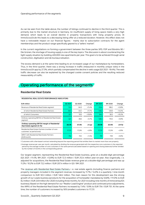As can be seen from the table above, the number of listings continued to decline in the third quarter. This is primarily due to the market structure in Germany. An insufficient supply of living space meets a very high demand, which leads to an overall decline in property transactions with rising property prices. At ImmoScout24.de this leads to a decreasing listing offer at a reduced duration. However, this effect does not have a noticeable impact on our financial figures - mainly due to subscription contracts for the agent memberships and the product range specifically geared to a "sellers' market".

In the current negotiations on forming a government between the three parties SPD, FDP and Bündnis 90 / Die Grünen, the shortage of housing supply is one of the key topics. The discussion is about counteracting the tight supply situation by building 400,000 new apartments per year. This goal is to be achieved through serial construction, digitisation and de-bureaucratisation.

The excess demand is at the same time leading to an increased usage of our marketplace by homeseekers. Thus, in the third quarter, there was a strong increase in traffic (measured in monthly unique visits) in the ImmoScout24 app by 27.3%, which partially compensated the decline in web usage (Q3 2021: -19.4%). The web traffic decrease can also be explained by the changed cookie consent policies and the resulting reduced measurability of traffic.

## <span id="page-8-0"></span>**Operating performance of the segments**

| <b>EUR</b> million                                                                        | Q3 2021 | Q3 2020 | Change   | 9M 2021 | 9M 2020 | Change   |
|-------------------------------------------------------------------------------------------|---------|---------|----------|---------|---------|----------|
| Revenue of Residential Real Estate segment                                                | 72.3    | 64.9    | $+11.4%$ | 212.4   | 188.2   | $+12.8%$ |
| of which Residential Real Estate Partners                                                 | 50.3    | 45.0    | $+11.7%$ | 148.2   | 129.9   | $+14.0%$ |
| of which Consumers                                                                        | 22.1    | 19.9    | $+10.8%$ | 64.2    | 58.3    | $+10.2%$ |
| Ordinary operating EBITDA of Residential Real Estate<br>segment                           | 42.1    | 39.8    | $+5.7%$  | 126.3   | 119.3   | $+5.9%$  |
| Ordinary operating EBITDA margin of Residential<br>Real Estate segment (in %)             | 58.2%   | 61.4%   | -3.1 pp  | 59.5%   | 63.4%   | -3.9 Pp  |
| Residential Real Estate Partners (number of core<br>customers <sup>1</sup> at period end) | 17.721  | 17.216  | $+2.9%$  | 17.721  | 17.216  | $+2.9%$  |
| ARPU <sup>2</sup> with Residential Real Estate Partners<br>(EUR/month)                    | 754     | 703     | $+7.4%$  | 751     | 709     | $+5.9%$  |

### **Residential Real Estate**

 **RESIDENTIAL REAL ESTATE PERFORMANCE INDICATORS** 

1 Customers with a fee-based contract extending beyond the reporting period that entitles them to market more than one property.

2 Average revenue per user per month, calculated by dividing the revenue generated with the respective core customers in the reported period by the average number of core customers in the same period (calculated based on opening and closing balances) further divided by the number of months in the corresponding period.

Our largest segment, representing the Residential Real Estate business, grew at a double-digit percentage (Q3 2021: +11.4%; 9M 2021: +12.8%) to EUR 72.3 million / EUR 212.4 million year-on-year. Also organically, i. e. adjusted for acquisitions, the Residential Real Estate revenue grew at a double-digit percentage and was up 11.2% / 10.2% to EUR 72.2 million / EUR 207.4 million in Q3 / 9M 2021.

The revenue with Residential Real Estate Partners, i. e. real estate agents (including finance partners) and property managers included in the segment revenue, increased by 11.7% / 14.0% in a quarterly / nine-month comparison to EUR 50.3 million / EUR 148.2 million. The main reason for this development was the strong growth of our Leads business (products for the acquisition of homeseller mandates) by 53.8% / 111.0% to EUR 8.2 million / EUR 23.9 million (for 2020 including three months, for 2021 including nine months of immoverkauf24 business). Based on the high demand for our "Realtor Lead Engine" product and continued price adjustments, the ARPU of the Residential Real Estate Partners increased by 7.4% / 5.9% to EUR 754 / EUR 751. At the same time, the number of customers increased by 505 (smaller) customers to 17,721.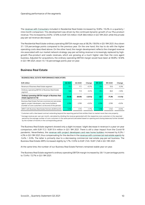The revenue with Consumers included in Residential Real Estate increased by 10.8% / 10.2% in a quarterly / nine-month comparison. This development was driven by the continued dynamic growth of our Plus product revenue. This increased by 23.0% / 27.8% to EUR 13.5 million / EUR 38.6 million in Q3 / 9M 2021, while the private pay-per-ad revenue decreased.

The Residential Real Estate ordinary operating EBITDA margin was at 58.2% / 59.5% in Q3 / 9M 2021, thus down 3.1 / 3.9 percentage points compared to the previous year. On the one hand, this has to do with the higher operating costs described above. On the other hand, the margin development reflects the changed revenue mix associated with our market network strategy: pay-per-ad listing revenue is increasingly replaced by highgrowth Plus-product and Leads revenues, which are growing at a much higher rate than the core agent business. Adjusted for acquisitions, the ordinary operating EBITDA margin would have been at 59.8% / 61.8% in Q3 / 9M 2021, down 1.5 / 1.6 percentage points year-on-year.

#### **Business Real Estate**

#### **BUSINESS REAL ESTATE PERFORMANCE INDICATORS**

| EUR million                                                                                                                                                                 | Q3 2021 | Q3 2020 | Change    | 9M 2021 | 9M 2020 | Change    |
|-----------------------------------------------------------------------------------------------------------------------------------------------------------------------------|---------|---------|-----------|---------|---------|-----------|
| Revenue of Business Real Estate segment                                                                                                                                     | 17.2    | 17.1    | $+0.7%$   | 51.4    | 51.6    | $-0.3%$   |
| Ordinary operating EBITDA of Business Real Estate<br>segment                                                                                                                | 12.6    | 11.9    | $+6.1%$   | 37.4    | 36.8    | $+1.6%$   |
| Ordinary operating EBITDA margin of Business Real<br>Estate segment (in %)                                                                                                  | 73.4%   | 69.6%   | $+3.8$ Pp | 72.7    | 71.3%   | $+1.4$ Pp |
| Business Real Estate Partners (commercial real estate<br>agents, project developers, new home builders)<br>(number of core customers <sup>1</sup> at the end of the period) | 2.790   | 2.789   | $+0.0%$   | 2.790   | 2.789   | $+0.0%$   |
| ARPU <sup>2</sup> with Business Real Estate Partners (EUR/month)                                                                                                            | 1.745   | 1.715   | $+1.7%$   | 1.748   | 1.740   | $+0.5%$   |

<sup>1</sup> Customers with a fee-based contract extending beyond the reporting period that entitles them to market more than one property.

<sup>2</sup> Average revenue per user per month, calculated by dividing the revenue generated with the respective core customers in the reported period by the average number of core customers in the same period (calculated based on opening and closing balances) further divided by the number of months in the corresponding period.

The Business Real Estate segment showed only a slight increase / slight decrease in revenue in a year-on-year comparison, with EUR 17.2 / EUR 51.4 million in Q3 / 9M 2021. There is still a clear impact from the Covid-19 pandemic. Nevertheless, the revenue with project developers and new home builders increased by 6.2% / 4.3% in Q3 / 9M 2021, thus compensating for the decline in the revenue with commercial real estate agents by -5.4% / -5.5%. The latter is primarily due to a decreasing commercial real estate pay-per-ad business. The Business Real Estate ARPU increased slightly by 1.7% / 0.5% to EUR 1,745 / EUR 1,748 in Q3 / 9M 2021.

At the same time, the number of our Business Real Estate Partners remained stable year-on-year.

The Business Real Estate segment's ordinary operating EBITDA margin increased by 3.8 /1.4 percentage points to 73.4% / 72.7% in Q3 / 9M 2021.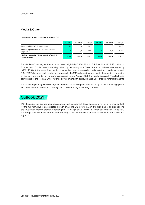#### **Media & Other**

 **MEDIA & OTHER PERFORMANCE INDICATORS**

|                                                              | Q3 2021 | Q3 2020 | Change   | 9M 2021 | 9M 2020 | Change   |
|--------------------------------------------------------------|---------|---------|----------|---------|---------|----------|
| Revenue of Media & Other segment                             | 7.9     | 7.6     | $+3.8%$  | 23.1    | 22.7    | $+2.0%$  |
| Ordinary operating EBITDA of Media & Other<br>segment        | 2.5     | 2.9     | $-16.0%$ | 8.0     | 9.0     | $-11.7%$ |
| Ordinary operating EBITDA margin of Media &<br>Other seament | 31.3%   | 38.6%   | -7.4 pp  | 34.5%   | 39.8%   | -5.3 pp  |

The Media & Other segment revenue increased slightly by 3.8% / 2.0% to EUR 7.9 million / EUR 23.1 million in Q3 / 9M 2021. This increase was mainly driven by the strong ImmoScout24 Austria business, which grew by 19.7% / 23.3%. At the same time, the third-party advertising business declined market and pandemic related. FLOWFACT also recorded a declining revenue with its CRM software business due to the ongoing conversion of the payment model to software-as-a-service. Since August 2021, the newly acquired Propstack also contributed to the Media & Other revenue development with its cloud-based CRM product for smaller agents.

The ordinary operating EBITDA margin of the Media & Other segment decreased by 7.4 / 5.3 percentage points to 31.3% / 34.5% in Q3 / 9M 2021, mainly due to the declining advertising business.

## <span id="page-10-0"></span>**Outlook 2021**

With the end of the financial year approaching, the Management Board decided to refine its revenue outlook for the full year 2021 to an expected growth of around 9% (previously: mid to high single-digit range). The previous outlook for the ordinary operating EBITDA margin of "up to 60%" is refined to a range of 57% to 58%. This range now also takes into account the acquisitions of Vermietet.de and Propstack made in May and August 2021.